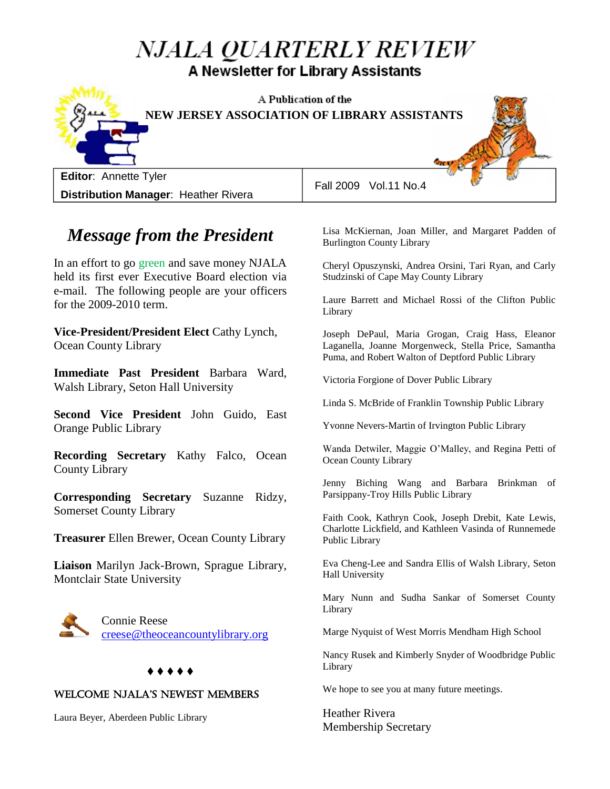## NJALA QUARTERLY REVIEW A Newsletter for Library Assistants



A Publication of the **NEW JERSEY ASSOCIATION OF LIBRARY ASSISTANTS**

**Editor**: Annette Tyler **Distribution Manager**: Heather Rivera

Fall 2009 Vol.11 No.4

# *Message from the President*

In an effort to go green and save money NJALA held its first ever Executive Board election via e-mail. The following people are your officers for the 2009-2010 term.

**Vice-President/President Elect** Cathy Lynch, Ocean County Library

**Immediate Past President** Barbara Ward, Walsh Library, Seton Hall University

**Second Vice President** John Guido, East Orange Public Library

**Recording Secretary** Kathy Falco, Ocean County Library

**Corresponding Secretary** Suzanne Ridzy, Somerset County Library

**Treasurer** Ellen Brewer, Ocean County Library

**Liaison** Marilyn Jack-Brown, Sprague Library, Montclair State University



Connie Reese [creese@theoceancountylibrary.org](mailto:creese@theoceancountylibrary.org)

#### .....

#### WELCOME NJALA's NEWEST MEMBERS

Laura Beyer, Aberdeen Public Library

Lisa McKiernan, Joan Miller, and Margaret Padden of Burlington County Library

Cheryl Opuszynski, Andrea Orsini, Tari Ryan, and Carly Studzinski of Cape May County Library

Laure Barrett and Michael Rossi of the Clifton Public Library

Joseph DePaul, Maria Grogan, Craig Hass, Eleanor Laganella, Joanne Morgenweck, Stella Price, Samantha Puma, and Robert Walton of Deptford Public Library

Victoria Forgione of Dover Public Library

Linda S. McBride of Franklin Township Public Library

Yvonne Nevers-Martin of Irvington Public Library

Wanda Detwiler, Maggie O'Malley, and Regina Petti of Ocean County Library

Jenny Biching Wang and Barbara Brinkman of Parsippany-Troy Hills Public Library

Faith Cook, Kathryn Cook, Joseph Drebit, Kate Lewis, Charlotte Lickfield, and Kathleen Vasinda of Runnemede Public Library

Eva Cheng-Lee and Sandra Ellis of Walsh Library, Seton Hall University

Mary Nunn and Sudha Sankar of Somerset County Library

Marge Nyquist of West Morris Mendham High School

Nancy Rusek and Kimberly Snyder of Woodbridge Public Library

We hope to see you at many future meetings.

Heather Rivera Membership Secretary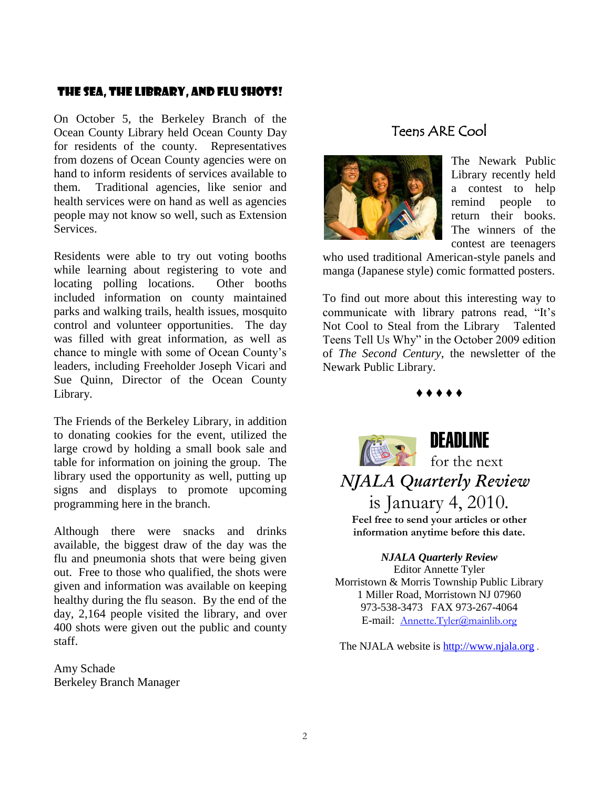### The Sea, The Library, AND Flu Shots!

On October 5, the Berkeley Branch of the Ocean County Library held Ocean County Day for residents of the county. Representatives from dozens of Ocean County agencies were on hand to inform residents of services available to them. Traditional agencies, like senior and health services were on hand as well as agencies people may not know so well, such as Extension **Services** 

Residents were able to try out voting booths while learning about registering to vote and locating polling locations. Other booths included information on county maintained parks and walking trails, health issues, mosquito control and volunteer opportunities. The day was filled with great information, as well as chance to mingle with some of Ocean County's leaders, including Freeholder Joseph Vicari and Sue Quinn, Director of the Ocean County Library.

The Friends of the Berkeley Library, in addition to donating cookies for the event, utilized the large crowd by holding a small book sale and table for information on joining the group. The library used the opportunity as well, putting up signs and displays to promote upcoming programming here in the branch.

Although there were snacks and drinks available, the biggest draw of the day was the flu and pneumonia shots that were being given out. Free to those who qualified, the shots were given and information was available on keeping healthy during the flu season. By the end of the day, 2,164 people visited the library, and over 400 shots were given out the public and county staff.

Amy Schade Berkeley Branch Manager

### Teens ARE Cool



The Newark Public Library recently held a contest to help remind people to return their books. The winners of the contest are teenagers

who used traditional American-style panels and manga (Japanese style) comic formatted posters.

To find out more about this interesting way to communicate with library patrons read, "It's Not Cool to Steal from the Library Talented Teens Tell Us Why" in the October 2009 edition of *The Second Century*, the newsletter of the Newark Public Library.





#### *NJALA Quarterly Review*

Editor Annette Tyler Morristown & Morris Township Public Library 1 Miller Road, Morristown NJ 07960 973-538-3473 FAX 973-267-4064 E-mail: [Annette.Tyler@mainlib.org](mailto:Annette.Tyler@mainlib.org)

The NJALA website is [http://www.njala.org](http://www.njala.org/).